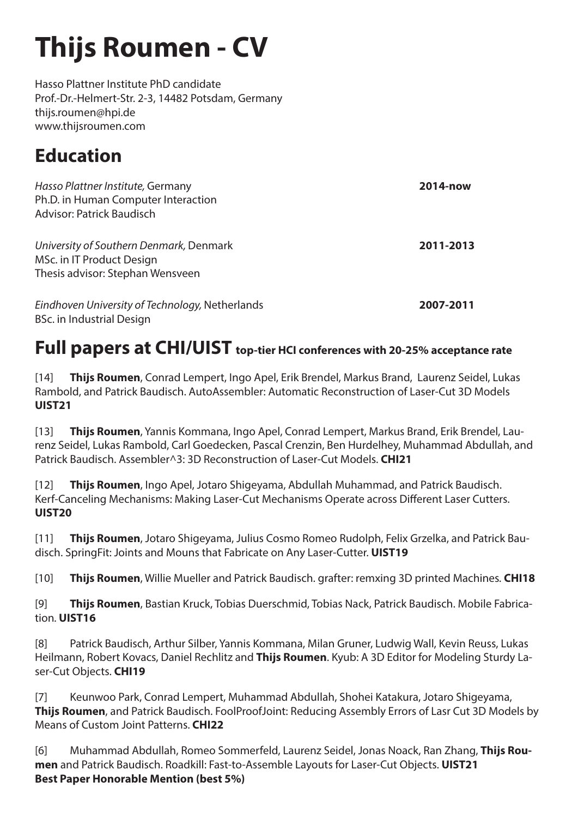# **Thijs Roumen - CV**

Hasso Plattner Institute PhD candidate Prof.-Dr.-Helmert-Str. 2-3, 14482 Potsdam, Germany thijs.roumen@hpi.de www.thijsroumen.com

## **Education**

| Hasso Plattner Institute, Germany<br>Ph.D. in Human Computer Interaction<br>Advisor: Patrick Baudisch    | 2014-now  |
|----------------------------------------------------------------------------------------------------------|-----------|
| University of Southern Denmark, Denmark<br>MSc. in IT Product Design<br>Thesis advisor: Stephan Wensveen | 2011-2013 |
| Eindhoven University of Technology, Netherlands<br>BSc. in Industrial Design                             | 2007-2011 |

### **Full papers at CHI/UIST top-tier HCI conferences with 20-25% acceptance rate**

[14] **Thijs Roumen**, Conrad Lempert, Ingo Apel, Erik Brendel, Markus Brand, Laurenz Seidel, Lukas Rambold, and Patrick Baudisch. AutoAssembler: Automatic Reconstruction of Laser-Cut 3D Models **UIST21**

[13] **Thijs Roumen**, Yannis Kommana, Ingo Apel, Conrad Lempert, Markus Brand, Erik Brendel, Laurenz Seidel, Lukas Rambold, Carl Goedecken, Pascal Crenzin, Ben Hurdelhey, Muhammad Abdullah, and Patrick Baudisch. Assembler^3: 3D Reconstruction of Laser-Cut Models. **CHI21**

[12] **Thijs Roumen**, Ingo Apel, Jotaro Shigeyama, Abdullah Muhammad, and Patrick Baudisch. Kerf-Canceling Mechanisms: Making Laser-Cut Mechanisms Operate across Different Laser Cutters. **UIST20**

[11] **Thijs Roumen**, Jotaro Shigeyama, Julius Cosmo Romeo Rudolph, Felix Grzelka, and Patrick Baudisch. SpringFit: Joints and Mouns that Fabricate on Any Laser-Cutter. **UIST19**

[10] **Thijs Roumen**, Willie Mueller and Patrick Baudisch. grafter: remxing 3D printed Machines*.* **CHI18**

[9] **Thijs Roumen**, Bastian Kruck, Tobias Duerschmid, Tobias Nack, Patrick Baudisch. Mobile Fabrication*.* **UIST16**

[8] Patrick Baudisch, Arthur Silber, Yannis Kommana, Milan Gruner, Ludwig Wall, Kevin Reuss, Lukas Heilmann, Robert Kovacs, Daniel Rechlitz and **Thijs Roumen**. Kyub: A 3D Editor for Modeling Sturdy Laser-Cut Objects. **CHI19**

[7] Keunwoo Park, Conrad Lempert, Muhammad Abdullah, Shohei Katakura, Jotaro Shigeyama, **Thijs Roumen**, and Patrick Baudisch. FoolProofJoint: Reducing Assembly Errors of Lasr Cut 3D Models by Means of Custom Joint Patterns. **CHI22**

[6] Muhammad Abdullah, Romeo Sommerfeld, Laurenz Seidel, Jonas Noack, Ran Zhang, **Thijs Roumen** and Patrick Baudisch. Roadkill: Fast-to-Assemble Layouts for Laser-Cut Objects. **UIST21 Best Paper Honorable Mention (best 5%)**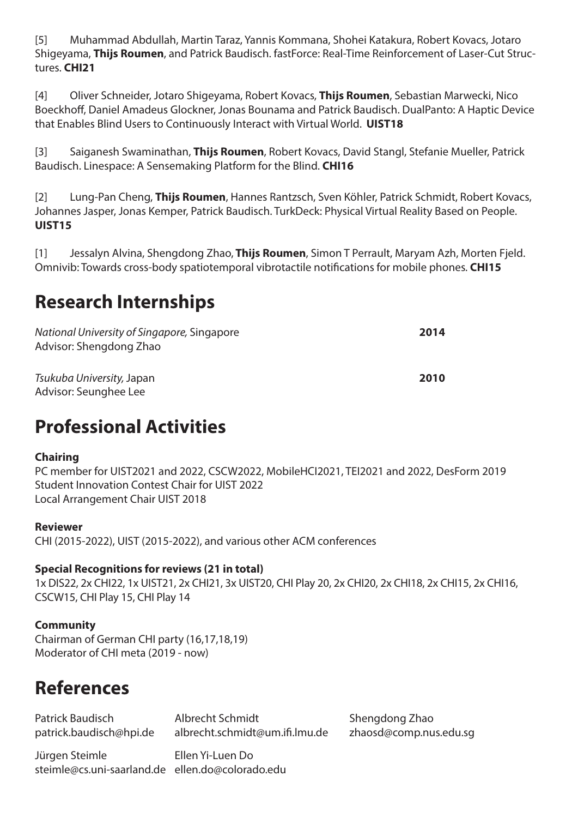[5] Muhammad Abdullah, Martin Taraz, Yannis Kommana, Shohei Katakura, Robert Kovacs, Jotaro Shigeyama, **Thijs Roumen**, and Patrick Baudisch. fastForce: Real-Time Reinforcement of Laser-Cut Structures. **CHI21**

[4] Oliver Schneider, Jotaro Shigeyama, Robert Kovacs, **Thijs Roumen**, Sebastian Marwecki, Nico Boeckhoff, Daniel Amadeus Glockner, Jonas Bounama and Patrick Baudisch. DualPanto: A Haptic Device that Enables Blind Users to Continuously Interact with Virtual World. **UIST18**

[3] Saiganesh Swaminathan, **Thijs Roumen**, Robert Kovacs, David Stangl, Stefanie Mueller, Patrick Baudisch. Linespace: A Sensemaking Platform for the Blind. **CHI16**

[2] Lung-Pan Cheng, **Thijs Roumen**, Hannes Rantzsch, Sven Köhler, Patrick Schmidt, Robert Kovacs, Johannes Jasper, Jonas Kemper, Patrick Baudisch. TurkDeck: Physical Virtual Reality Based on People. **UIST15**

[1] Jessalyn Alvina, Shengdong Zhao, **Thijs Roumen**, Simon T Perrault, Maryam Azh, Morten Fjeld. Omnivib: Towards cross-body spatiotemporal vibrotactile notifications for mobile phones*.* **CHI15**

### **Research Internships**

| National University of Singapore, Singapore<br>Advisor: Shengdong Zhao | 2014 |
|------------------------------------------------------------------------|------|
| Tsukuba University, Japan<br>Advisor: Seunghee Lee                     | 2010 |

### **Professional Activities**

#### **Chairing**

PC member for UIST2021 and 2022, CSCW2022, MobileHCI2021, TEI2021 and 2022, DesForm 2019 Student Innovation Contest Chair for UIST 2022 Local Arrangement Chair UIST 2018

#### **Reviewer**

CHI (2015-2022), UIST (2015-2022), and various other ACM conferences

#### **Special Recognitions for reviews (21 in total)**

1x DIS22, 2x CHI22, 1x UIST21, 2x CHI21, 3x UIST20, CHI Play 20, 2x CHI20, 2x CHI18, 2x CHI15, 2x CHI16, CSCW15, CHI Play 15, CHI Play 14

### **Community**

Chairman of German CHI party (16,17,18,19) Moderator of CHI meta (2019 - now)

### **References**

| patrick.baudisch@hpi.de | Patrick Baudisch | Albrecht Schmidt               |
|-------------------------|------------------|--------------------------------|
|                         |                  | albrecht.schmidt@um.ifi.lmu.do |

Jürgen Steimle Ellen Yi-Luen Do steimle@cs.uni-saarland.de ellen.do@colorado.edu

Shengdong Zhao e zhaosd@comp.nus.edu.sg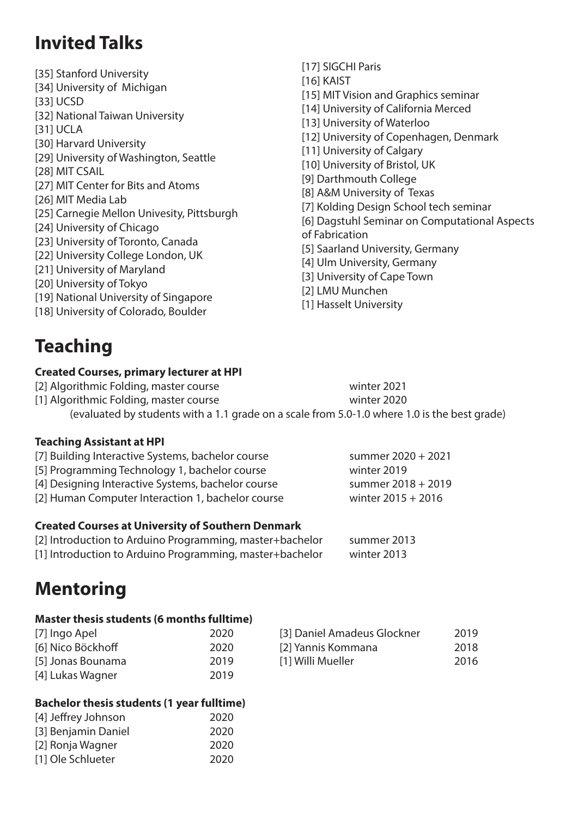### **Invited Talks**

- [35] Stanford University [34] University of Michigan [33] UCSD [32] National Taiwan University [31] UCLA [30] Harvard University [29] University of Washington, Seattle [28] MIT CSAIL [27] MIT Center for Bits and Atoms [26] MIT Media Lab [25] Carnegie Mellon Univesity, Pittsburgh [24] University of Chicago [23] University of Toronto, Canada [22] University College London, UK [21] University of Maryland [20] University of Tokyo [19] National University of Singapore [18] University of Colorado, Boulder
- **Teaching**

#### **Created Courses, primary lecturer at HPI**

[2] Algorithmic Folding, master course winter 2021 [1] Algorithmic Folding, master course winter 2020 (evaluated by students with a 1.1 grade on a scale from 5.0-1.0 where 1.0 is the best grade)

#### **Teaching Assistant at HPI**

| [7] Building Interactive Systems, bachelor course  | summer 2020 + 2021   |
|----------------------------------------------------|----------------------|
| [5] Programming Technology 1, bachelor course      | winter 2019          |
| [4] Designing Interactive Systems, bachelor course | summer 2018 + 2019   |
| [2] Human Computer Interaction 1, bachelor course  | winter $2015 + 2016$ |
|                                                    |                      |

#### **Created Courses at University of Southern Denmark**

| [2] Introduction to Arduino Programming, master+bachelor | summer 2013 |
|----------------------------------------------------------|-------------|
| [1] Introduction to Arduino Programming, master+bachelor | winter 2013 |

### **Mentoring**

#### **Master thesis students (6 months fulltime)**

| [7] Ingo Apel     | 2020 | [3] Daniel Amadeus Glockner | 2019 |
|-------------------|------|-----------------------------|------|
| [6] Nico Böckhoff | 2020 | [2] Yannis Kommana          | 2018 |
| [5] Jonas Bounama | 2019 | [1] Willi Mueller           | 2016 |
| [4] Lukas Wagner  | 2019 |                             |      |

#### **Bachelor thesis students (1 year fulltime)**

| [4] Jeffrey Johnson | 2020 |
|---------------------|------|
| [3] Benjamin Daniel | 2020 |
| [2] Ronja Wagner    | 2020 |
| [1] Ole Schlueter   | 2020 |

- [17] SIGCHI Paris [16] KAIST [15] MIT Vision and Graphics seminar [14] University of California Merced [13] University of Waterloo [12] University of Copenhagen, Denmark [11] University of Calgary [10] University of Bristol, UK [9] Darthmouth College [8] A&M University of Texas [7] Kolding Design School tech seminar [6] Dagstuhl Seminar on Computational Aspects of Fabrication [5] Saarland University, Germany [4] Ulm University, Germany [3] University of Cape Town [2] LMU Munchen
- [1] Hasselt University